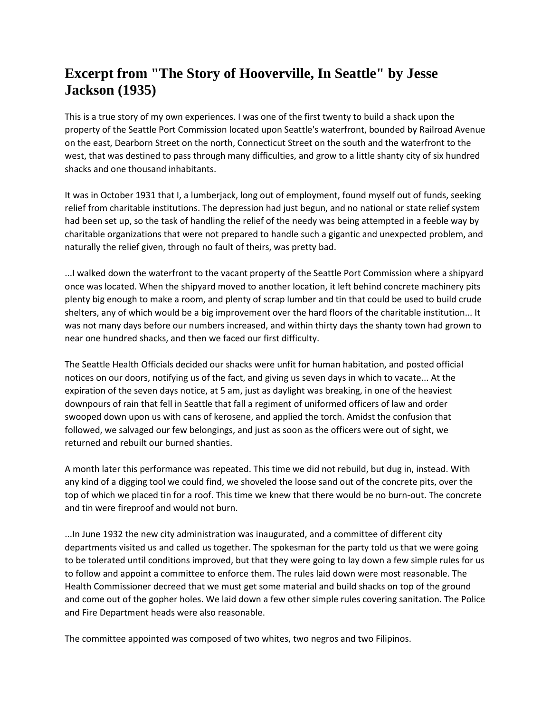## **Excerpt from "The Story of Hooverville, In Seattle" by Jesse Jackson (1935)**

This is a true story of my own experiences. I was one of the first twenty to build a shack upon the property of the Seattle Port Commission located upon Seattle's waterfront, bounded by Railroad Avenue on the east, Dearborn Street on the north, Connecticut Street on the south and the waterfront to the west, that was destined to pass through many difficulties, and grow to a little shanty city of six hundred shacks and one thousand inhabitants.

It was in October 1931 that I, a lumberjack, long out of employment, found myself out of funds, seeking relief from charitable institutions. The depression had just begun, and no national or state relief system had been set up, so the task of handling the relief of the needy was being attempted in a feeble way by charitable organizations that were not prepared to handle such a gigantic and unexpected problem, and naturally the relief given, through no fault of theirs, was pretty bad.

...I walked down the waterfront to the vacant property of the Seattle Port Commission where a shipyard once was located. When the shipyard moved to another location, it left behind concrete machinery pits plenty big enough to make a room, and plenty of scrap lumber and tin that could be used to build crude shelters, any of which would be a big improvement over the hard floors of the charitable institution... It was not many days before our numbers increased, and within thirty days the shanty town had grown to near one hundred shacks, and then we faced our first difficulty.

The Seattle Health Officials decided our shacks were unfit for human habitation, and posted official notices on our doors, notifying us of the fact, and giving us seven days in which to vacate... At the expiration of the seven days notice, at 5 am, just as daylight was breaking, in one of the heaviest downpours of rain that fell in Seattle that fall a regiment of uniformed officers of law and order swooped down upon us with cans of kerosene, and applied the torch. Amidst the confusion that followed, we salvaged our few belongings, and just as soon as the officers were out of sight, we returned and rebuilt our burned shanties.

A month later this performance was repeated. This time we did not rebuild, but dug in, instead. With any kind of a digging tool we could find, we shoveled the loose sand out of the concrete pits, over the top of which we placed tin for a roof. This time we knew that there would be no burn-out. The concrete and tin were fireproof and would not burn.

...In June 1932 the new city administration was inaugurated, and a committee of different city departments visited us and called us together. The spokesman for the party told us that we were going to be tolerated until conditions improved, but that they were going to lay down a few simple rules for us to follow and appoint a committee to enforce them. The rules laid down were most reasonable. The Health Commissioner decreed that we must get some material and build shacks on top of the ground and come out of the gopher holes. We laid down a few other simple rules covering sanitation. The Police and Fire Department heads were also reasonable.

The committee appointed was composed of two whites, two negros and two Filipinos.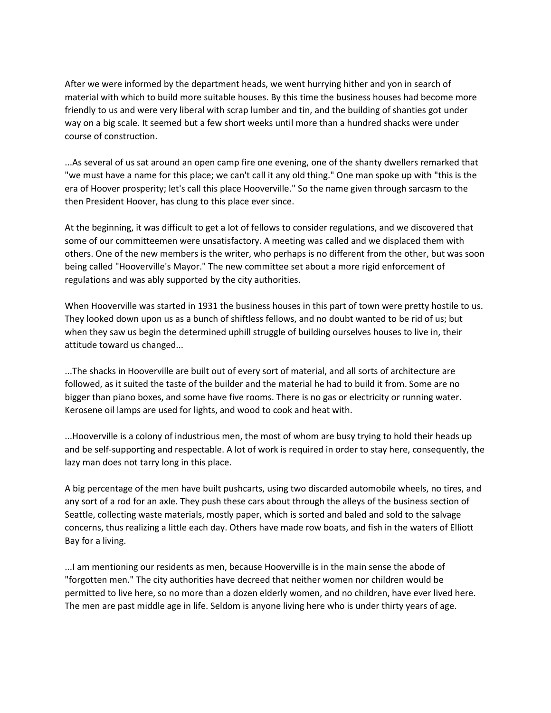After we were informed by the department heads, we went hurrying hither and yon in search of material with which to build more suitable houses. By this time the business houses had become more friendly to us and were very liberal with scrap lumber and tin, and the building of shanties got under way on a big scale. It seemed but a few short weeks until more than a hundred shacks were under course of construction.

...As several of us sat around an open camp fire one evening, one of the shanty dwellers remarked that "we must have a name for this place; we can't call it any old thing." One man spoke up with "this is the era of Hoover prosperity; let's call this place Hooverville." So the name given through sarcasm to the then President Hoover, has clung to this place ever since.

At the beginning, it was difficult to get a lot of fellows to consider regulations, and we discovered that some of our committeemen were unsatisfactory. A meeting was called and we displaced them with others. One of the new members is the writer, who perhaps is no different from the other, but was soon being called "Hooverville's Mayor." The new committee set about a more rigid enforcement of regulations and was ably supported by the city authorities.

When Hooverville was started in 1931 the business houses in this part of town were pretty hostile to us. They looked down upon us as a bunch of shiftless fellows, and no doubt wanted to be rid of us; but when they saw us begin the determined uphill struggle of building ourselves houses to live in, their attitude toward us changed...

...The shacks in Hooverville are built out of every sort of material, and all sorts of architecture are followed, as it suited the taste of the builder and the material he had to build it from. Some are no bigger than piano boxes, and some have five rooms. There is no gas or electricity or running water. Kerosene oil lamps are used for lights, and wood to cook and heat with.

...Hooverville is a colony of industrious men, the most of whom are busy trying to hold their heads up and be self-supporting and respectable. A lot of work is required in order to stay here, consequently, the lazy man does not tarry long in this place.

A big percentage of the men have built pushcarts, using two discarded automobile wheels, no tires, and any sort of a rod for an axle. They push these cars about through the alleys of the business section of Seattle, collecting waste materials, mostly paper, which is sorted and baled and sold to the salvage concerns, thus realizing a little each day. Others have made row boats, and fish in the waters of Elliott Bay for a living.

...I am mentioning our residents as men, because Hooverville is in the main sense the abode of "forgotten men." The city authorities have decreed that neither women nor children would be permitted to live here, so no more than a dozen elderly women, and no children, have ever lived here. The men are past middle age in life. Seldom is anyone living here who is under thirty years of age.